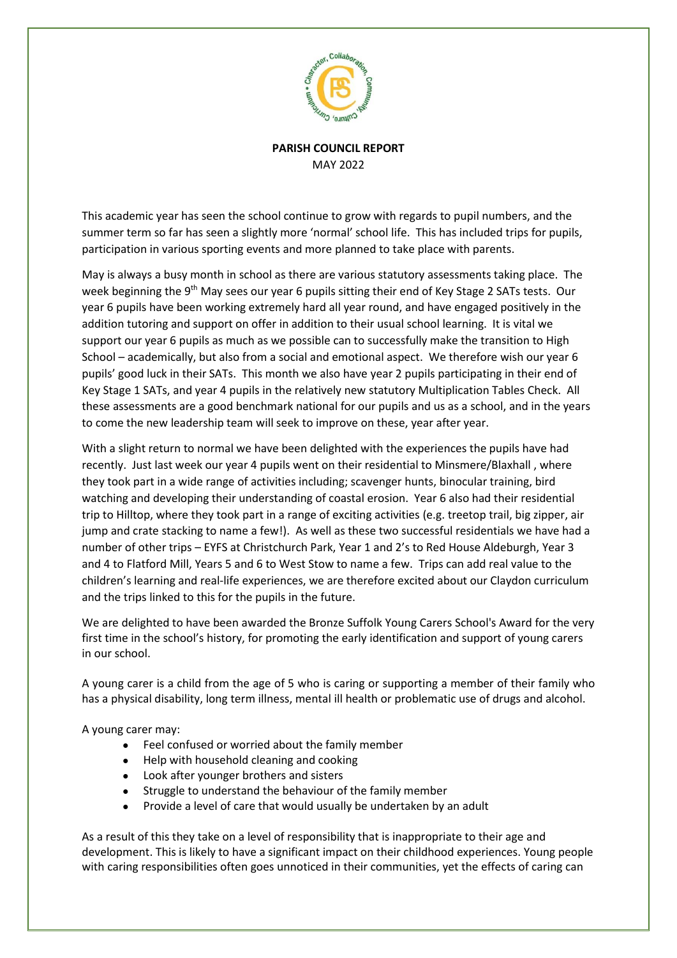

## **PARISH COUNCIL REPORT** MAY 2022

This academic year has seen the school continue to grow with regards to pupil numbers, and the summer term so far has seen a slightly more 'normal' school life. This has included trips for pupils, participation in various sporting events and more planned to take place with parents.

May is always a busy month in school as there are various statutory assessments taking place. The week beginning the 9<sup>th</sup> May sees our year 6 pupils sitting their end of Key Stage 2 SATs tests. Our year 6 pupils have been working extremely hard all year round, and have engaged positively in the addition tutoring and support on offer in addition to their usual school learning. It is vital we support our year 6 pupils as much as we possible can to successfully make the transition to High School – academically, but also from a social and emotional aspect. We therefore wish our year 6 pupils' good luck in their SATs. This month we also have year 2 pupils participating in their end of Key Stage 1 SATs, and year 4 pupils in the relatively new statutory Multiplication Tables Check. All these assessments are a good benchmark national for our pupils and us as a school, and in the years to come the new leadership team will seek to improve on these, year after year.

With a slight return to normal we have been delighted with the experiences the pupils have had recently. Just last week our year 4 pupils went on their residential to Minsmere/Blaxhall , where they took part in a wide range of activities including; scavenger hunts, binocular training, bird watching and developing their understanding of coastal erosion. Year 6 also had their residential trip to Hilltop, where they took part in a range of exciting activities (e.g. treetop trail, big zipper, air jump and crate stacking to name a few!). As well as these two successful residentials we have had a number of other trips – EYFS at Christchurch Park, Year 1 and 2's to Red House Aldeburgh, Year 3 and 4 to Flatford Mill, Years 5 and 6 to West Stow to name a few. Trips can add real value to the children's learning and real-life experiences, we are therefore excited about our Claydon curriculum and the trips linked to this for the pupils in the future.

We are delighted to have been awarded the Bronze Suffolk Young Carers School's Award for the very first time in the school's history, for promoting the early identification and support of young carers in our school.

A young carer is a child from the age of 5 who is caring or supporting a member of their family who has a physical disability, long term illness, mental ill health or problematic use of drugs and alcohol.

A young carer may:

- Feel confused or worried about the family member
- Help with household cleaning and cooking
- Look after younger brothers and sisters
- Struggle to understand the behaviour of the family member
- Provide a level of care that would usually be undertaken by an adult

As a result of this they take on a level of responsibility that is inappropriate to their age and development. This is likely to have a significant impact on their childhood experiences. Young people with caring responsibilities often goes unnoticed in their communities, yet the effects of caring can